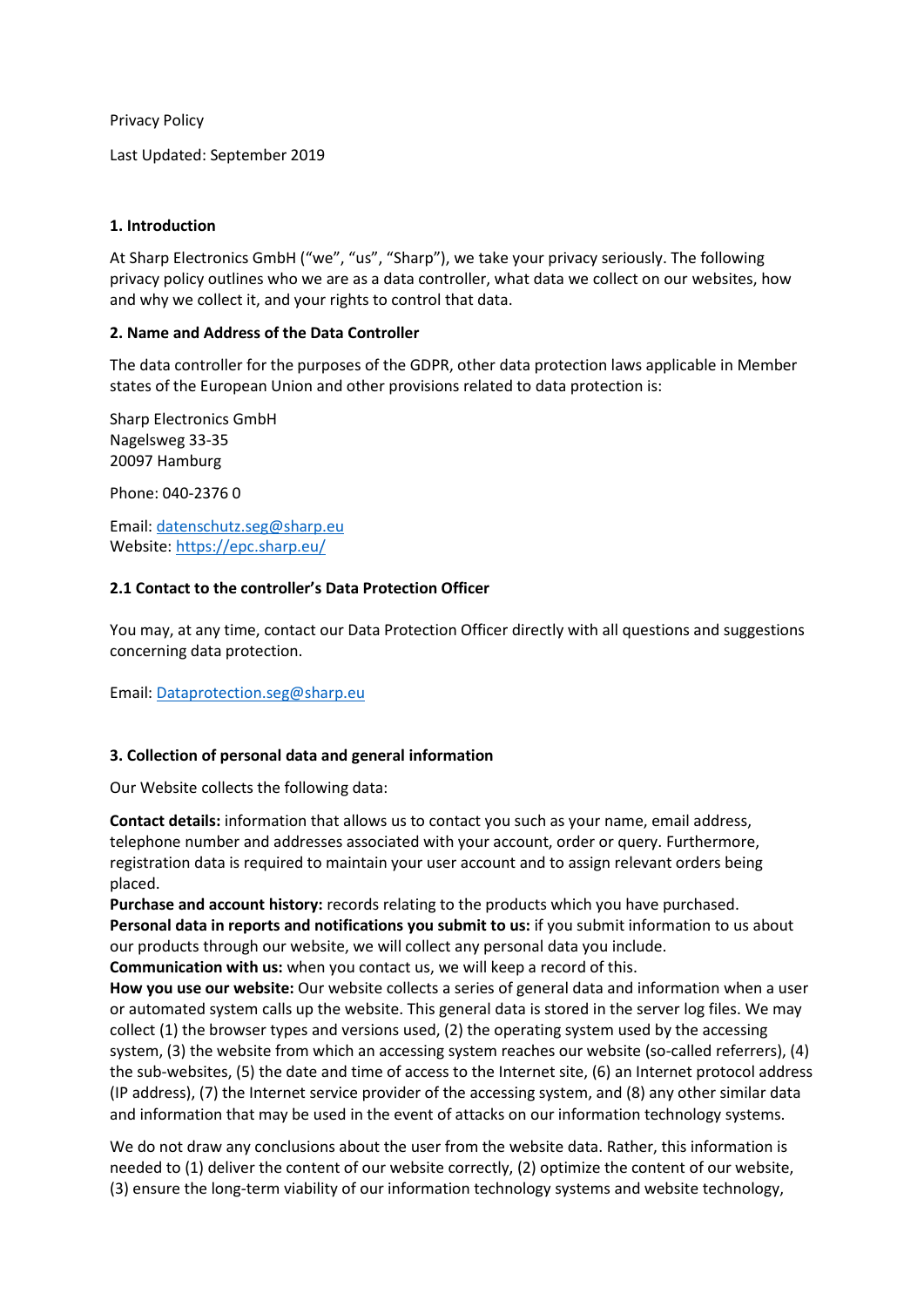Privacy Policy

Last Updated: September 2019

### **1. Introduction**

At Sharp Electronics GmbH ("we", "us", "Sharp"), we take your privacy seriously. The following privacy policy outlines who we are as a data controller, what data we collect on our websites, how and why we collect it, and your rights to control that data.

#### **2. Name and Address of the Data Controller**

The data controller for the purposes of the GDPR, other data protection laws applicable in Member states of the European Union and other provisions related to data protection is:

Sharp Electronics GmbH Nagelsweg 33-35 20097 Hamburg

Phone: 040-2376 0

Email: [datenschutz.seg@sharp.eu](mailto:datenschutz.seg@sharp.eu) Website: <https://epc.sharp.eu/>

### **2.1 Contact to the controller's Data Protection Officer**

You may, at any time, contact our Data Protection Officer directly with all questions and suggestions concerning data protection.

Email: [Dataprotection.seg@sharp.eu](mailto:Dataprotection.seg@sharp.eu)

### **3. Collection of personal data and general information**

Our Website collects the following data:

**Contact details:** information that allows us to contact you such as your name, email address, telephone number and addresses associated with your account, order or query. Furthermore, registration data is required to maintain your user account and to assign relevant orders being placed.

**Purchase and account history:** records relating to the products which you have purchased. **Personal data in reports and notifications you submit to us:** if you submit information to us about our products through our website, we will collect any personal data you include.

**Communication with us:** when you contact us, we will keep a record of this.

**How you use our website:** Our website collects a series of general data and information when a user or automated system calls up the website. This general data is stored in the server log files. We may collect (1) the browser types and versions used, (2) the operating system used by the accessing system, (3) the website from which an accessing system reaches our website (so-called referrers), (4) the sub-websites, (5) the date and time of access to the Internet site, (6) an Internet protocol address (IP address), (7) the Internet service provider of the accessing system, and (8) any other similar data and information that may be used in the event of attacks on our information technology systems.

We do not draw any conclusions about the user from the website data. Rather, this information is needed to (1) deliver the content of our website correctly, (2) optimize the content of our website, (3) ensure the long-term viability of our information technology systems and website technology,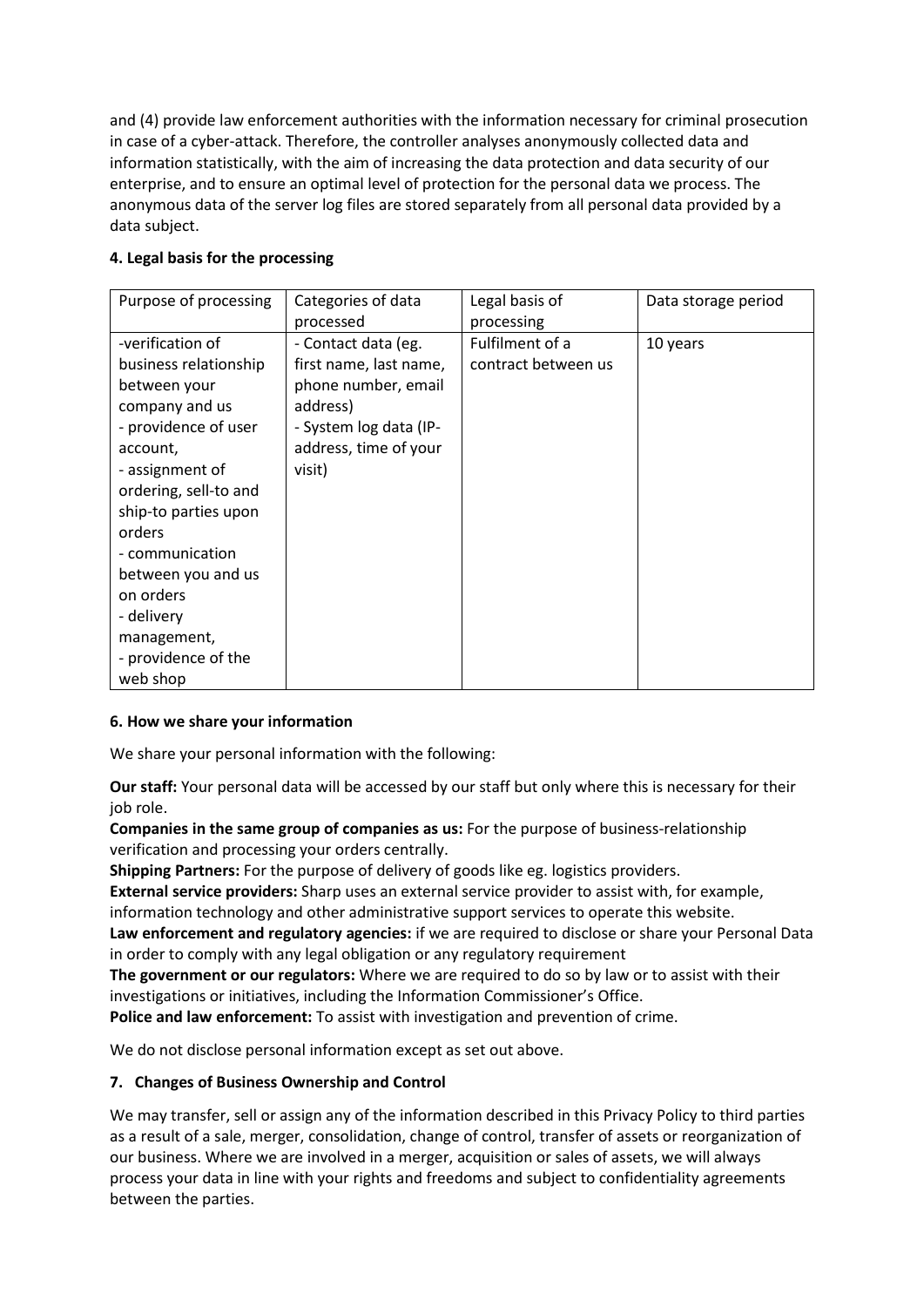and (4) provide law enforcement authorities with the information necessary for criminal prosecution in case of a cyber-attack. Therefore, the controller analyses anonymously collected data and information statistically, with the aim of increasing the data protection and data security of our enterprise, and to ensure an optimal level of protection for the personal data we process. The anonymous data of the server log files are stored separately from all personal data provided by a data subject.

| Purpose of processing | Categories of data     | Legal basis of      | Data storage period |
|-----------------------|------------------------|---------------------|---------------------|
|                       | processed              | processing          |                     |
| -verification of      | - Contact data (eg.    | Fulfilment of a     | 10 years            |
| business relationship | first name, last name, | contract between us |                     |
| between your          | phone number, email    |                     |                     |
| company and us        | address)               |                     |                     |
| - providence of user  | - System log data (IP- |                     |                     |
| account,              | address, time of your  |                     |                     |
| - assignment of       | visit)                 |                     |                     |
| ordering, sell-to and |                        |                     |                     |
| ship-to parties upon  |                        |                     |                     |
| orders                |                        |                     |                     |
| - communication       |                        |                     |                     |
| between you and us    |                        |                     |                     |
| on orders             |                        |                     |                     |
| - delivery            |                        |                     |                     |
| management,           |                        |                     |                     |
| - providence of the   |                        |                     |                     |
| web shop              |                        |                     |                     |

## **4. Legal basis for the processing**

### **6. How we share your information**

We share your personal information with the following:

**Our staff:** Your personal data will be accessed by our staff but only where this is necessary for their job role.

**Companies in the same group of companies as us:** For the purpose of business-relationship verification and processing your orders centrally.

**Shipping Partners:** For the purpose of delivery of goods like eg. logistics providers.

**External service providers:** Sharp uses an external service provider to assist with, for example, information technology and other administrative support services to operate this website.

**Law enforcement and regulatory agencies:** if we are required to disclose or share your Personal Data in order to comply with any legal obligation or any regulatory requirement

**The government or our regulators:** Where we are required to do so by law or to assist with their investigations or initiatives, including the Information Commissioner's Office.

**Police and law enforcement:** To assist with investigation and prevention of crime.

We do not disclose personal information except as set out above.

### **7. Changes of Business Ownership and Control**

We may transfer, sell or assign any of the information described in this Privacy Policy to third parties as a result of a sale, merger, consolidation, change of control, transfer of assets or reorganization of our business. Where we are involved in a merger, acquisition or sales of assets, we will always process your data in line with your rights and freedoms and subject to confidentiality agreements between the parties.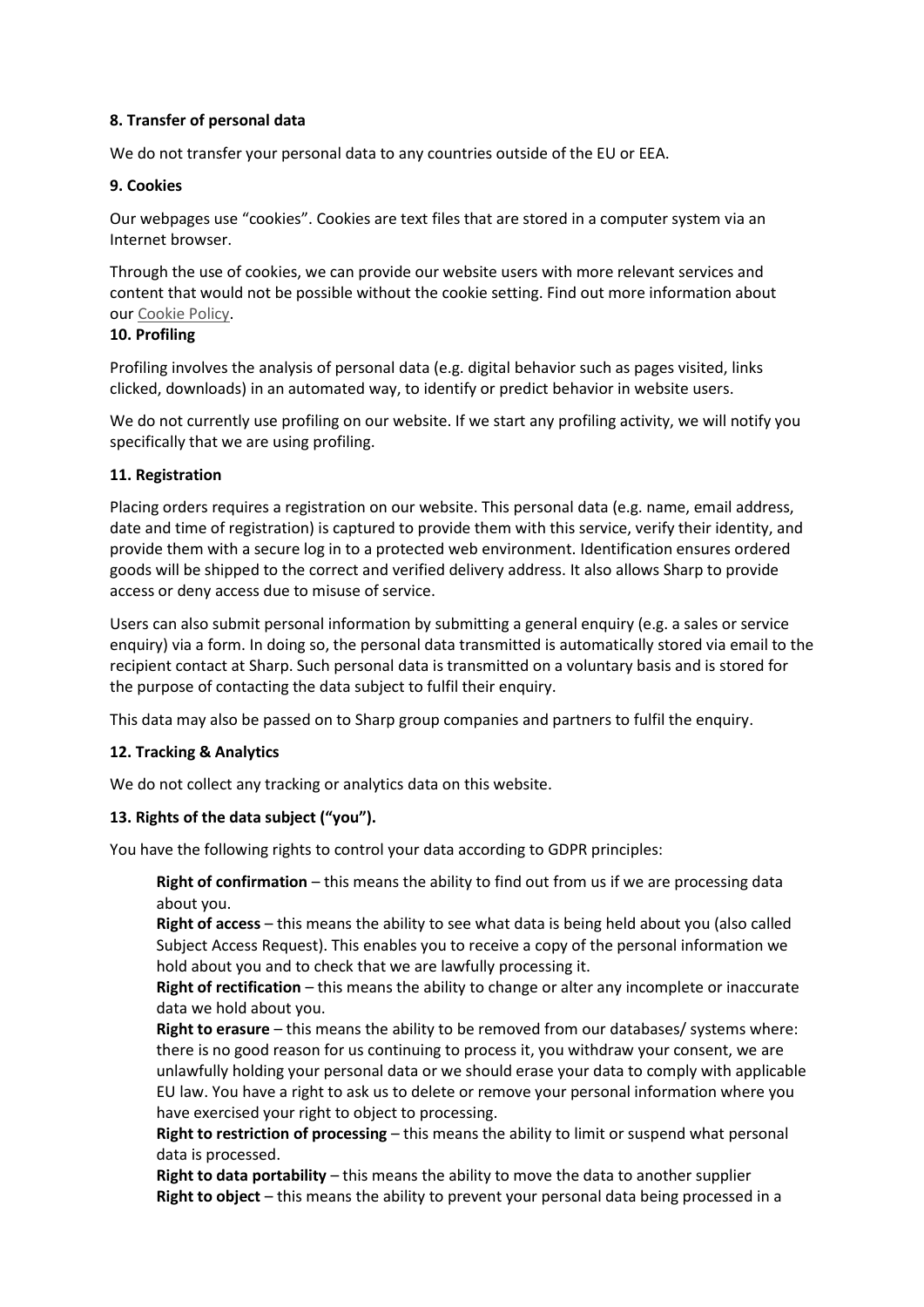## **8. Transfer of personal data**

We do not transfer your personal data to any countries outside of the EU or EEA.

### **9. Cookies**

Our webpages use "cookies". Cookies are text files that are stored in a computer system via an Internet browser.

Through the use of cookies, we can provide our website users with more relevant services and content that would not be possible without the cookie setting. Find out more information about our [Cookie](https://assets.sharp.eu/policies/en/Cookie_Privacy-EPC_English.pdf) Policy.

### **10. Profiling**

Profiling involves the analysis of personal data (e.g. digital behavior such as pages visited, links clicked, downloads) in an automated way, to identify or predict behavior in website users.

We do not currently use profiling on our website. If we start any profiling activity, we will notify you specifically that we are using profiling.

## **11. Registration**

Placing orders requires a registration on our website. This personal data (e.g. name, email address, date and time of registration) is captured to provide them with this service, verify their identity, and provide them with a secure log in to a protected web environment. Identification ensures ordered goods will be shipped to the correct and verified delivery address. It also allows Sharp to provide access or deny access due to misuse of service.

Users can also submit personal information by submitting a general enquiry (e.g. a sales or service enquiry) via a form. In doing so, the personal data transmitted is automatically stored via email to the recipient contact at Sharp. Such personal data is transmitted on a voluntary basis and is stored for the purpose of contacting the data subject to fulfil their enquiry.

This data may also be passed on to Sharp group companies and partners to fulfil the enquiry.

### **12. Tracking & Analytics**

We do not collect any tracking or analytics data on this website.

# **13. Rights of the data subject ("you").**

You have the following rights to control your data according to GDPR principles:

**Right of confirmation** – this means the ability to find out from us if we are processing data about you.

**Right of access** – this means the ability to see what data is being held about you (also called Subject Access Request). This enables you to receive a copy of the personal information we hold about you and to check that we are lawfully processing it.

**Right of rectification** – this means the ability to change or alter any incomplete or inaccurate data we hold about you.

**Right to erasure** – this means the ability to be removed from our databases/ systems where: there is no good reason for us continuing to process it, you withdraw your consent, we are unlawfully holding your personal data or we should erase your data to comply with applicable EU law. You have a right to ask us to delete or remove your personal information where you have exercised your right to object to processing.

**Right to restriction of processing** – this means the ability to limit or suspend what personal data is processed.

**Right to data portability** – this means the ability to move the data to another supplier **Right to object** – this means the ability to prevent your personal data being processed in a